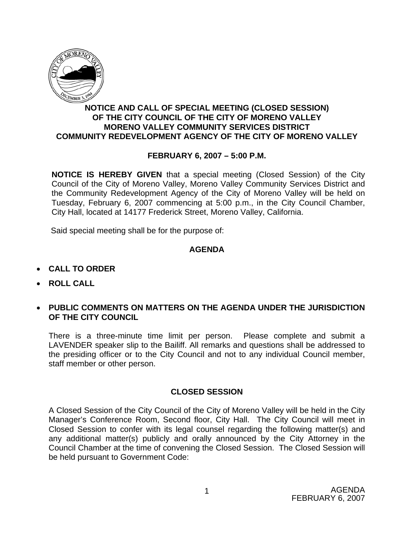

## **NOTICE AND CALL OF SPECIAL MEETING (CLOSED SESSION) OF THE CITY COUNCIL OF THE CITY OF MORENO VALLEY MORENO VALLEY COMMUNITY SERVICES DISTRICT COMMUNITY REDEVELOPMENT AGENCY OF THE CITY OF MORENO VALLEY**

## **FEBRUARY 6, 2007 – 5:00 P.M.**

**NOTICE IS HEREBY GIVEN** that a special meeting (Closed Session) of the City Council of the City of Moreno Valley, Moreno Valley Community Services District and the Community Redevelopment Agency of the City of Moreno Valley will be held on Tuesday, February 6, 2007 commencing at 5:00 p.m., in the City Council Chamber, City Hall, located at 14177 Frederick Street, Moreno Valley, California.

Said special meeting shall be for the purpose of:

### **AGENDA**

- **CALL TO ORDER**
- **ROLL CALL**
- **PUBLIC COMMENTS ON MATTERS ON THE AGENDA UNDER THE JURISDICTION OF THE CITY COUNCIL**

There is a three-minute time limit per person. Please complete and submit a LAVENDER speaker slip to the Bailiff. All remarks and questions shall be addressed to the presiding officer or to the City Council and not to any individual Council member, staff member or other person.

### **CLOSED SESSION**

A Closed Session of the City Council of the City of Moreno Valley will be held in the City Manager's Conference Room, Second floor, City Hall. The City Council will meet in Closed Session to confer with its legal counsel regarding the following matter(s) and any additional matter(s) publicly and orally announced by the City Attorney in the Council Chamber at the time of convening the Closed Session. The Closed Session will be held pursuant to Government Code: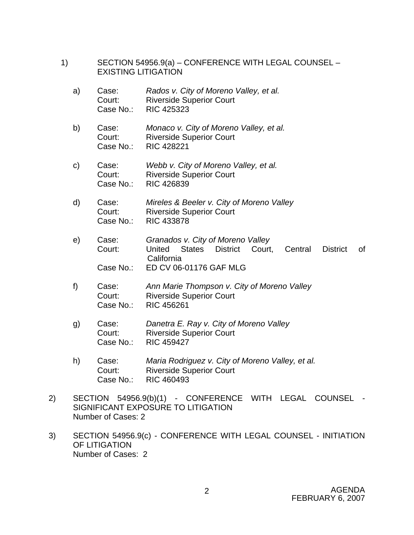- 1) SECTION 54956.9(a) CONFERENCE WITH LEGAL COUNSEL EXISTING LITIGATION
	- a) Case: *Rados v. City of Moreno Valley, et al.*  Court: Riverside Superior Court Case No.: RIC 425323
	- b) Case: *Monaco v. City of Moreno Valley, et al.*  Court: Riverside Superior Court Case No.: RIC 428221
	- c) Case: *Webb v. City of Moreno Valley, et al.*  Court: Riverside Superior Court Case No.: RIC 426839
	- d) Case: *Mireles & Beeler v. City of Moreno Valley*  Court: Riverside Superior Court Case No.: RIC 433878
	- e) Case: *Granados v. City of Moreno Valley* Court: United States District Court, Central District of California Case No.: ED CV 06-01176 GAF MLG
	- f) Case: *Ann Marie Thompson v. City of Moreno Valley* Court: Riverside Superior Court Case No.: RIC 456261
	- g) Case: *Danetra E. Ray v. City of Moreno Valley* Court: Riverside Superior Court Case No.: RIC 459427
	- h) Case: *Maria Rodriguez v. City of Moreno Valley, et al.* Court: Riverside Superior Court Case No.: RIC 460493
- 2) SECTION 54956.9(b)(1) CONFERENCE WITH LEGAL COUNSEL SIGNIFICANT EXPOSURE TO LITIGATION Number of Cases: 2
- 3) SECTION 54956.9(c) CONFERENCE WITH LEGAL COUNSEL INITIATION OF LITIGATION Number of Cases: 2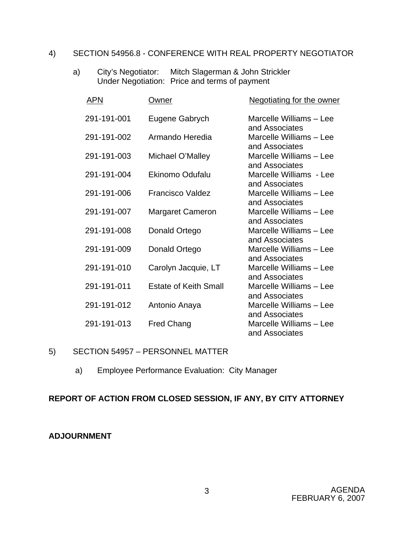## 4) SECTION 54956.8 - CONFERENCE WITH REAL PROPERTY NEGOTIATOR

a) City's Negotiator: Mitch Slagerman & John Strickler Under Negotiation: Price and terms of payment

| Owner                        | <b>Negotiating for the owner</b>                            |
|------------------------------|-------------------------------------------------------------|
| Eugene Gabrych               | Marcelle Williams - Lee                                     |
| Armando Heredia              | and Associates<br>Marcelle Williams - Lee                   |
| Michael O'Malley             | and Associates<br>Marcelle Williams - Lee                   |
| <b>Ekinomo Odufalu</b>       | and Associates<br>Marcelle Williams - Lee                   |
| <b>Francisco Valdez</b>      | and Associates<br>Marcelle Williams - Lee                   |
| <b>Margaret Cameron</b>      | and Associates<br>Marcelle Williams - Lee                   |
| Donald Ortego                | and Associates<br>Marcelle Williams - Lee                   |
| Donald Ortego                | and Associates<br>Marcelle Williams - Lee                   |
| Carolyn Jacquie, LT          | and Associates<br>Marcelle Williams - Lee                   |
| <b>Estate of Keith Small</b> | and Associates<br>Marcelle Williams - Lee                   |
| Antonio Anaya                | and Associates<br>Marcelle Williams - Lee                   |
| <b>Fred Chang</b>            | and Associates<br>Marcelle Williams - Lee<br>and Associates |
|                              |                                                             |

### 5) SECTION 54957 – PERSONNEL MATTER

a) Employee Performance Evaluation: City Manager

# **REPORT OF ACTION FROM CLOSED SESSION, IF ANY, BY CITY ATTORNEY**

### **ADJOURNMENT**